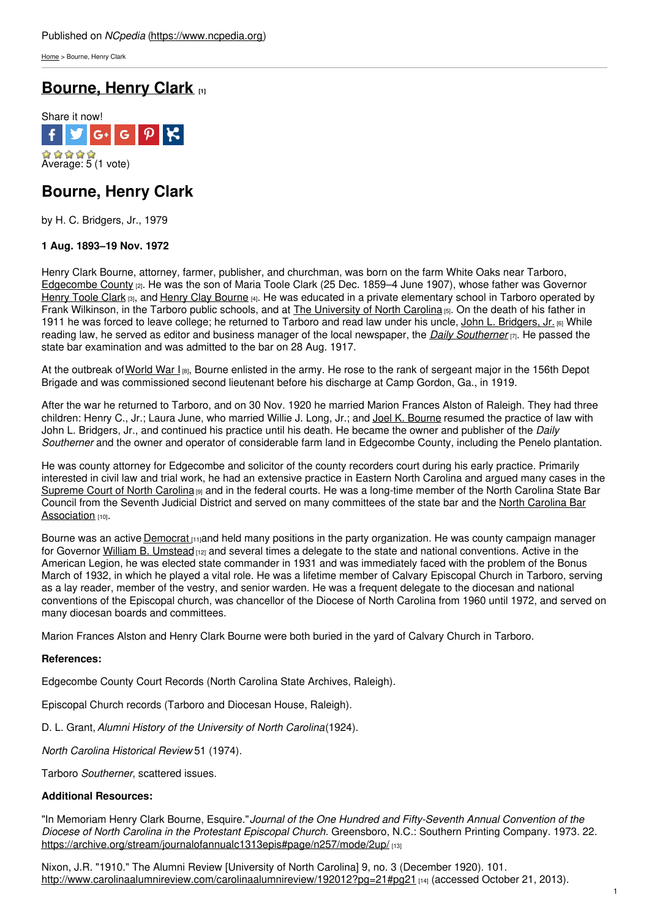[Home](https://www.ncpedia.org/) > Bourne, Henry Clark

# **[Bourne,](https://www.ncpedia.org/biography/bourne-henry-clark) Henry Clark [1]**



## **Bourne, Henry Clark**

by H. C. Bridgers, Jr., 1979

### **1 Aug. 1893–19 Nov. 1972**

Henry Clark Bourne, attorney, farmer, publisher, and churchman, was born on the farm White Oaks near Tarboro, [Edgecombe](https://www.ncpedia.org/geography/edgecombe) County [2]. He was the son of Maria Toole Clark (25 Dec. 1859–4 June 1907), whose father was Governor [Henry](https://www.ncpedia.org/biography/clark-henry-toole) Toole Clark [3], and Henry Clay [Bourne](http://www.social9.com) [4]. He was educated in a private elementary school in Tarboro operated by Frank Wilkinson, in the Tarboro public schools, and at The [University](https://www.ncpedia.org/university-north-carolina-chapel-hi) of North Carolina [5]. On the death of his father in 1911 he was forced to leave college; he returned to Tarboro and read law under his uncle, John L. [Bridgers,](https://www.ncpedia.org/biography/bridgers-john-luther-jr) Jr.  $_{[6]}$  While reading law, he served as editor and business manager of the local newspaper, the *Daily [Southerner](https://www.ncpedia.org/tarboro-daily-southerner)* [7]. He passed the state bar examination and was admitted to the bar on 28 Aug. 1917.

At the outbreak of [World](https://www.ncpedia.org/world-war-i) War I  $_{[8]}$ , Bourne enlisted in the army. He rose to the rank of sergeant major in the 156th Depot Brigade and was commissioned second lieutenant before his discharge at Camp Gordon, Ga., in 1919.

After the war he returned to Tarboro, and on 30 Nov. 1920 he married Marion Frances Alston of Raleigh. They had three children: Henry C., Jr.; Laura June, who married Willie J. Long, Jr.; and Joel K. [Bourne](https://www.ncpedia.org/biography/bourne-henry-clark#) resumed the practice of law with John L. Bridgers, Jr., and continued his practice until his death. He became the owner and publisher of the *Daily Southerner* and the owner and operator of considerable farm land in Edgecombe County, including the Penelo plantation.

He was county attorney for Edgecombe and solicitor of the county recorders court during his early practice. Primarily interested in civil law and trial work, he had an extensive practice in Eastern North Carolina and argued many cases in the [Supreme](https://www.ncpedia.org/supreme-court-north-carolina) Court of North Carolina [9] and in the federal courts. He was a long-time member of the North Carolina State Bar Council from the Seventh Judicial District and served on many [committees](https://www.ncpedia.org/north-carolina-bar-association) of the state bar and the North Carolina Bar Association [10].

Bourne was an active [Democrat](https://www.ncpedia.org/democratic-party) [11]and held many positions in the party organization. He was county campaign manager for Governor William B. [Umstead](https://www.ncpedia.org/biography/umstead-william-bradley) [12] and several times a delegate to the state and national conventions. Active in the American Legion, he was elected state commander in 1931 and was immediately faced with the problem of the Bonus March of 1932, in which he played a vital role. He was a lifetime member of Calvary Episcopal Church in Tarboro, serving as a lay reader, member of the vestry, and senior warden. He was a frequent delegate to the diocesan and national conventions of the Episcopal church, was chancellor of the Diocese of North Carolina from 1960 until 1972, and served on many diocesan boards and committees.

Marion Frances Alston and Henry Clark Bourne were both buried in the yard of Calvary Church in Tarboro.

#### **References:**

Edgecombe County Court Records (North Carolina State Archives, Raleigh).

Episcopal Church records (Tarboro and Diocesan House, Raleigh).

D. L. Grant,*Alumni History of the University of North Carolina*(1924).

*North Carolina Historical Review* 51 (1974).

Tarboro *Southerner*, scattered issues.

#### **Additional Resources:**

"In Memoriam Henry Clark Bourne, Esquire."*Journal of the One Hundred and Fifty-Seventh Annual Convention of the Diocese of North Carolina in the Protestant Episcopal Church*. Greensboro, N.C.: Southern Printing Company. 1973. 22. <https://archive.org/stream/journalofannualc1313epis#page/n257/mode/2up/> [13]

Nixon, J.R. "1910." The Alumni Review [University of North Carolina] 9, no. 3 (December 1920). 101. <http://www.carolinaalumnireview.com/carolinaalumnireview/192012?pg=21#pg21> [14] (accessed October 21, 2013).